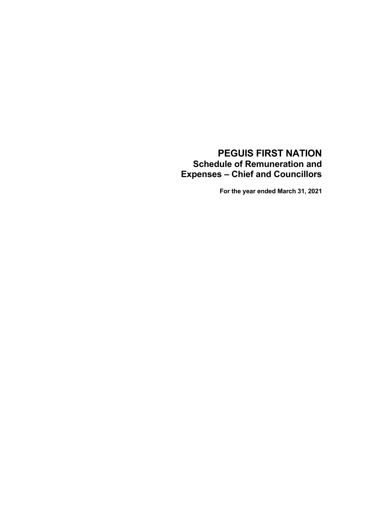# **PEGUIS FIRST NATION Schedule of Remuneration and Expenses – Chief and Councillors**

**For the year ended March 31, 2021**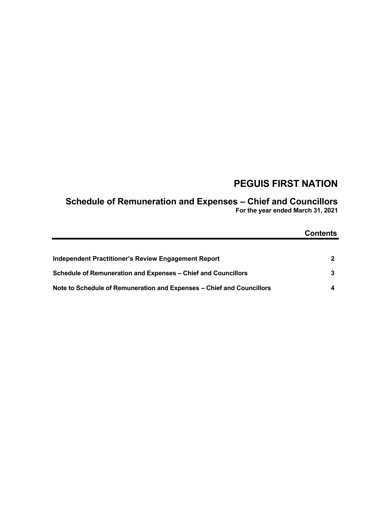# **PEGUIS FIRST NATION**

# **Schedule of Remuneration and Expenses – Chief and Councillors**

**For the year ended March 31, 2021**

|                                                                       | <b>Contents</b> |
|-----------------------------------------------------------------------|-----------------|
|                                                                       |                 |
| Independent Practitioner's Review Engagement Report                   | 2               |
| Schedule of Remuneration and Expenses – Chief and Councillors         |                 |
| Note to Schedule of Remuneration and Expenses - Chief and Councillors |                 |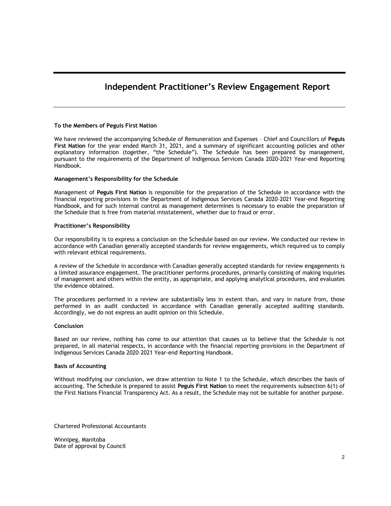### **Independent Practitioner's Review Engagement Report**

#### **To the Members of Peguis First Nation**

We have reviewed the accompanying Schedule of Remuneration and Expenses – Chief and Councillors of **Peguis First Nation** for the year ended March 31, 2021, and a summary of significant accounting policies and other explanatory information (together, "the Schedule"). The Schedule has been prepared by management, pursuant to the requirements of the Department of Indigenous Services Canada 2020-2021 Year-end Reporting Handbook.

#### **Management's Responsibility for the Schedule**

Management of **Peguis First Nation** is responsible for the preparation of the Schedule in accordance with the financial reporting provisions in the Department of Indigenous Services Canada 2020–2021 Year-end Reporting Handbook, and for such internal control as management determines is necessary to enable the preparation of the Schedule that is free from material misstatement, whether due to fraud or error.

#### **Practitioner's Responsibility**

Our responsibility is to express a conclusion on the Schedule based on our review. We conducted our review in accordance with Canadian generally accepted standards for review engagements, which required us to comply with relevant ethical requirements.

A review of the Schedule in accordance with Canadian generally accepted standards for review engagements is a limited assurance engagement. The practitioner performs procedures, primarily consisting of making inquiries of management and others within the entity, as appropriate, and applying analytical procedures, and evaluates the evidence obtained.

The procedures performed in a review are substantially less in extent than, and vary in nature from, those performed in an audit conducted in accordance with Canadian generally accepted auditing standards. Accordingly, we do not express an audit opinion on this Schedule.

#### **Conclusion**

Based on our review, nothing has come to our attention that causes us to believe that the Schedule is not prepared, in all material respects, in accordance with the financial reporting provisions in the Department of Indigenous Services Canada 2020–2021 Year-end Reporting Handbook.

#### **Basis of Accounting**

Without modifying our conclusion, we draw attention to Note 1 to the Schedule, which describes the basis of accounting. The Schedule is prepared to assist **Peguis First Nation** to meet the requirements subsection 6(1) of the First Nations Financial Transparency Act. As a result, the Schedule may not be suitable for another purpose.

Chartered Professional Accountants

Winnipeg, Manitoba Date of approval by Council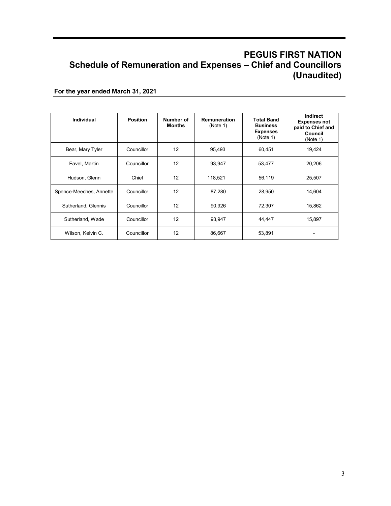## **PEGUIS FIRST NATION Schedule of Remuneration and Expenses – Chief and Councillors (Unaudited)**

**For the year ended March 31, 2021**

| <b>Individual</b>       | <b>Position</b> | Number of<br><b>Months</b> | Remuneration<br>(Note 1) | <b>Total Band</b><br><b>Business</b><br><b>Expenses</b><br>(Note 1) | <b>Indirect</b><br><b>Expenses not</b><br>paid to Chief and<br>Council<br>(Note 1) |
|-------------------------|-----------------|----------------------------|--------------------------|---------------------------------------------------------------------|------------------------------------------------------------------------------------|
| Bear, Mary Tyler        | Councillor      | 12                         | 95,493                   | 60,451                                                              | 19,424                                                                             |
| Favel, Martin           | Councillor      | 12                         | 93.947                   | 53,477                                                              | 20,206                                                                             |
| Hudson, Glenn           | Chief           | 12                         | 118,521                  | 56,119                                                              | 25,507                                                                             |
| Spence-Meeches, Annette | Councillor      | 12                         | 87,280                   | 28,950                                                              | 14,604                                                                             |
| Sutherland, Glennis     | Councillor      | 12                         | 90,926                   | 72,307                                                              | 15,862                                                                             |
| Sutherland, Wade        | Councillor      | 12                         | 93,947                   | 44,447                                                              | 15,897                                                                             |
| Wilson, Kelvin C.       | Councillor      | 12                         | 86,667                   | 53,891                                                              |                                                                                    |